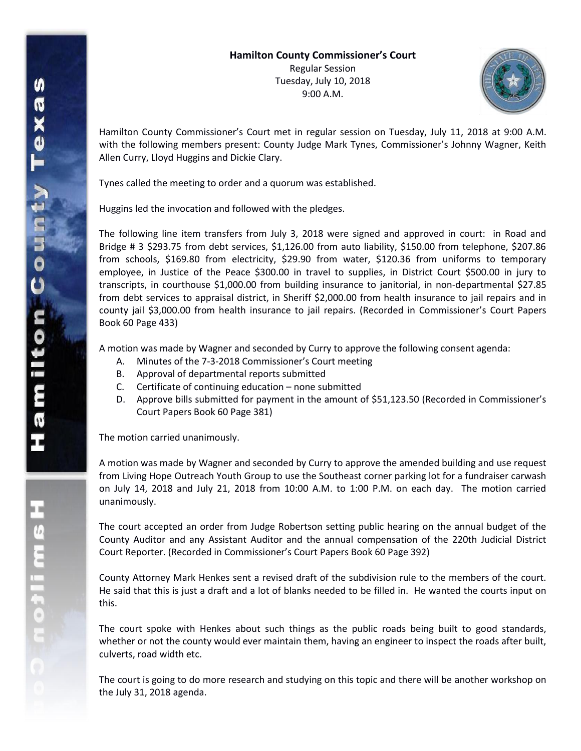

Hamilton County Commissioner's Court met in regular session on Tuesday, July 11, 2018 at 9:00 A.M. with the following members present: County Judge Mark Tynes, Commissioner's Johnny Wagner, Keith Allen Curry, Lloyd Huggins and Dickie Clary.

Tynes called the meeting to order and a quorum was established.

Huggins led the invocation and followed with the pledges.

The following line item transfers from July 3, 2018 were signed and approved in court: in Road and Bridge # 3 \$293.75 from debt services, \$1,126.00 from auto liability, \$150.00 from telephone, \$207.86 from schools, \$169.80 from electricity, \$29.90 from water, \$120.36 from uniforms to temporary employee, in Justice of the Peace \$300.00 in travel to supplies, in District Court \$500.00 in jury to transcripts, in courthouse \$1,000.00 from building insurance to janitorial, in non-departmental \$27.85 from debt services to appraisal district, in Sheriff \$2,000.00 from health insurance to jail repairs and in county jail \$3,000.00 from health insurance to jail repairs. (Recorded in Commissioner's Court Papers Book 60 Page 433)

A motion was made by Wagner and seconded by Curry to approve the following consent agenda:

- A. Minutes of the 7-3-2018 Commissioner's Court meeting
- B. Approval of departmental reports submitted
- C. Certificate of continuing education none submitted
- D. Approve bills submitted for payment in the amount of \$51,123.50 (Recorded in Commissioner's Court Papers Book 60 Page 381)

The motion carried unanimously.

A motion was made by Wagner and seconded by Curry to approve the amended building and use request from Living Hope Outreach Youth Group to use the Southeast corner parking lot for a fundraiser carwash on July 14, 2018 and July 21, 2018 from 10:00 A.M. to 1:00 P.M. on each day. The motion carried unanimously.

The court accepted an order from Judge Robertson setting public hearing on the annual budget of the County Auditor and any Assistant Auditor and the annual compensation of the 220th Judicial District Court Reporter. (Recorded in Commissioner's Court Papers Book 60 Page 392)

County Attorney Mark Henkes sent a revised draft of the subdivision rule to the members of the court. He said that this is just a draft and a lot of blanks needed to be filled in. He wanted the courts input on this.

The court spoke with Henkes about such things as the public roads being built to good standards, whether or not the county would ever maintain them, having an engineer to inspect the roads after built, culverts, road width etc.

The court is going to do more research and studying on this topic and there will be another workshop on the July 31, 2018 agenda.